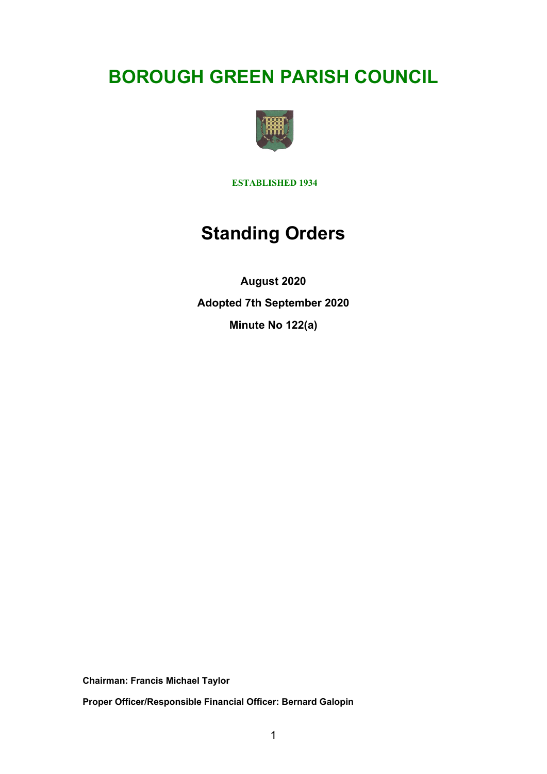# **BOROUGH GREEN PARISH COUNCIL**



**ESTABLISHED 1934**

# **Standing Orders**

**August 2020 Adopted 7th September 2020 Minute No 122(a)**

**Chairman: Francis Michael Taylor** 

**Proper Officer/Responsible Financial Officer: Bernard Galopin**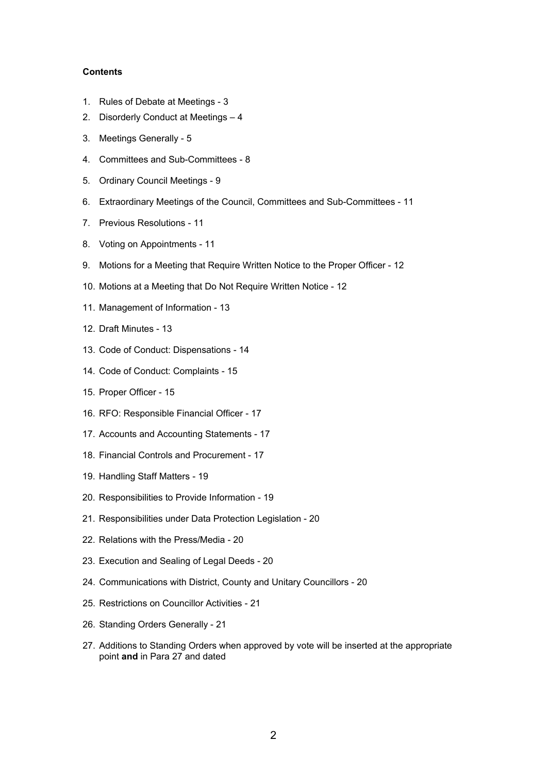#### **Contents**

- 1. Rules of Debate at Meetings 3
- 2. Disorderly Conduct at Meetings 4
- 3. Meetings Generally 5
- 4. Committees and Sub-Committees 8
- 5. Ordinary Council Meetings 9
- 6. Extraordinary Meetings of the Council, Committees and Sub-Committees 11
- 7. Previous Resolutions 11
- 8. Voting on Appointments 11
- 9. Motions for a Meeting that Require Written Notice to the Proper Officer 12
- 10. Motions at a Meeting that Do Not Require Written Notice 12
- 11. Management of Information 13
- 12. Draft Minutes 13
- 13. Code of Conduct: Dispensations 14
- 14. Code of Conduct: Complaints 15
- 15. Proper Officer 15
- 16. RFO: Responsible Financial Officer 17
- 17. Accounts and Accounting Statements 17
- 18. Financial Controls and Procurement 17
- 19. Handling Staff Matters 19
- 20. Responsibilities to Provide Information 19
- 21. Responsibilities under Data Protection Legislation 20
- 22. Relations with the Press/Media 20
- 23. Execution and Sealing of Legal Deeds 20
- 24. Communications with District, County and Unitary Councillors 20
- 25. Restrictions on Councillor Activities 21
- 26. Standing Orders Generally 21
- 27. Additions to Standing Orders when approved by vote will be inserted at the appropriate point **and** in Para 27 and dated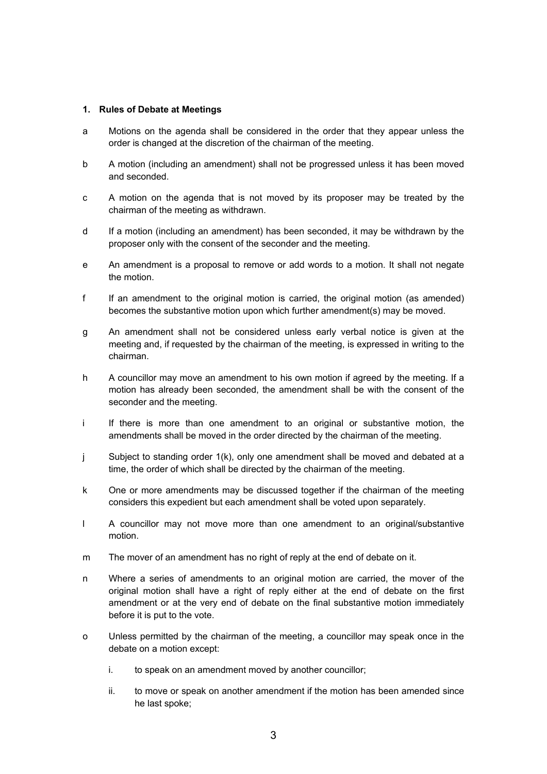#### **1. Rules of Debate at Meetings**

- a Motions on the agenda shall be considered in the order that they appear unless the order is changed at the discretion of the chairman of the meeting.
- b A motion (including an amendment) shall not be progressed unless it has been moved and seconded.
- c A motion on the agenda that is not moved by its proposer may be treated by the chairman of the meeting as withdrawn.
- d If a motion (including an amendment) has been seconded, it may be withdrawn by the proposer only with the consent of the seconder and the meeting.
- e An amendment is a proposal to remove or add words to a motion. It shall not negate the motion.
- f If an amendment to the original motion is carried, the original motion (as amended) becomes the substantive motion upon which further amendment(s) may be moved.
- g An amendment shall not be considered unless early verbal notice is given at the meeting and, if requested by the chairman of the meeting, is expressed in writing to the chairman.
- h A councillor may move an amendment to his own motion if agreed by the meeting. If a motion has already been seconded, the amendment shall be with the consent of the seconder and the meeting.
- i If there is more than one amendment to an original or substantive motion, the amendments shall be moved in the order directed by the chairman of the meeting.
- j Subject to standing order 1(k), only one amendment shall be moved and debated at a time, the order of which shall be directed by the chairman of the meeting.
- k One or more amendments may be discussed together if the chairman of the meeting considers this expedient but each amendment shall be voted upon separately.
- l A councillor may not move more than one amendment to an original/substantive motion.
- m The mover of an amendment has no right of reply at the end of debate on it.
- n Where a series of amendments to an original motion are carried, the mover of the original motion shall have a right of reply either at the end of debate on the first amendment or at the very end of debate on the final substantive motion immediately before it is put to the vote.
- o Unless permitted by the chairman of the meeting, a councillor may speak once in the debate on a motion except:
	- i. to speak on an amendment moved by another councillor;
	- ii. to move or speak on another amendment if the motion has been amended since he last spoke;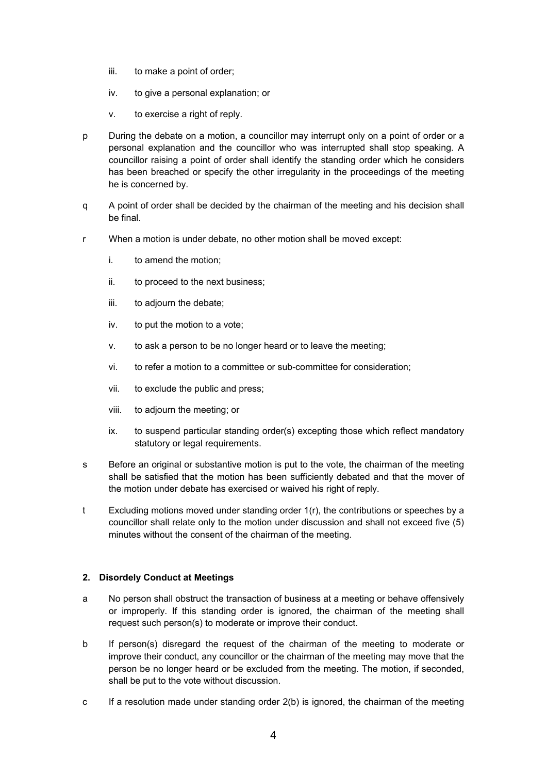- iii. to make a point of order;
- iv. to give a personal explanation; or
- v. to exercise a right of reply.
- p During the debate on a motion, a councillor may interrupt only on a point of order or a personal explanation and the councillor who was interrupted shall stop speaking. A councillor raising a point of order shall identify the standing order which he considers has been breached or specify the other irregularity in the proceedings of the meeting he is concerned by.
- q A point of order shall be decided by the chairman of the meeting and his decision shall be final.
- r When a motion is under debate, no other motion shall be moved except:
	- i. to amend the motion;
	- ii. to proceed to the next business;
	- iii. to adjourn the debate;
	- iv. to put the motion to a vote;
	- v. to ask a person to be no longer heard or to leave the meeting;
	- vi. to refer a motion to a committee or sub-committee for consideration;
	- vii. to exclude the public and press;
	- viii. to adjourn the meeting; or
	- ix. to suspend particular standing order(s) excepting those which reflect mandatory statutory or legal requirements.
- s Before an original or substantive motion is put to the vote, the chairman of the meeting shall be satisfied that the motion has been sufficiently debated and that the mover of the motion under debate has exercised or waived his right of reply.
- t Excluding motions moved under standing order 1(r), the contributions or speeches by a councillor shall relate only to the motion under discussion and shall not exceed five (5) minutes without the consent of the chairman of the meeting.

# **2. Disordely Conduct at Meetings**

- a No person shall obstruct the transaction of business at a meeting or behave offensively or improperly. If this standing order is ignored, the chairman of the meeting shall request such person(s) to moderate or improve their conduct.
- b If person(s) disregard the request of the chairman of the meeting to moderate or improve their conduct, any councillor or the chairman of the meeting may move that the person be no longer heard or be excluded from the meeting. The motion, if seconded, shall be put to the vote without discussion.
- c If a resolution made under standing order 2(b) is ignored, the chairman of the meeting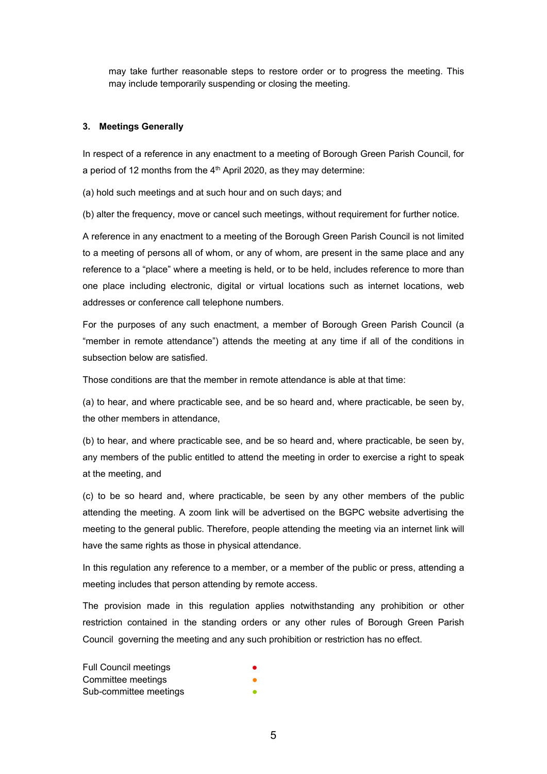may take further reasonable steps to restore order or to progress the meeting. This may include temporarily suspending or closing the meeting.

#### **3. Meetings Generally**

In respect of a reference in any enactment to a meeting of Borough Green Parish Council, for a period of 12 months from the  $4<sup>th</sup>$  April 2020, as they may determine:

(a) hold such meetings and at such hour and on such days; and

(b) alter the frequency, move or cancel such meetings, without requirement for further notice.

A reference in any enactment to a meeting of the Borough Green Parish Council is not limited to a meeting of persons all of whom, or any of whom, are present in the same place and any reference to a "place" where a meeting is held, or to be held, includes reference to more than one place including electronic, digital or virtual locations such as internet locations, web addresses or conference call telephone numbers.

For the purposes of any such enactment, a member of Borough Green Parish Council (a "member in remote attendance") attends the meeting at any time if all of the conditions in subsection below are satisfied.

Those conditions are that the member in remote attendance is able at that time:

(a) to hear, and where practicable see, and be so heard and, where practicable, be seen by, the other members in attendance,

(b) to hear, and where practicable see, and be so heard and, where practicable, be seen by, any members of the public entitled to attend the meeting in order to exercise a right to speak at the meeting, and

(c) to be so heard and, where practicable, be seen by any other members of the public attending the meeting. A zoom link will be advertised on the BGPC website advertising the meeting to the general public. Therefore, people attending the meeting via an internet link will have the same rights as those in physical attendance.

In this regulation any reference to a member, or a member of the public or press, attending a meeting includes that person attending by remote access.

The provision made in this regulation applies notwithstanding any prohibition or other restriction contained in the standing orders or any other rules of Borough Green Parish Council governing the meeting and any such prohibition or restriction has no effect.

Full Council meetings Committee meetings Sub-committee meetings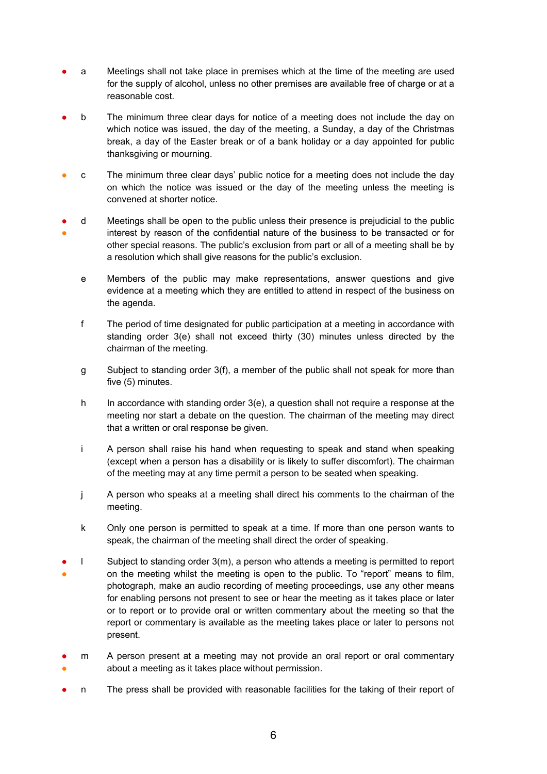- a Meetings shall not take place in premises which at the time of the meeting are used for the supply of alcohol, unless no other premises are available free of charge or at a reasonable cost.
- b The minimum three clear days for notice of a meeting does not include the day on which notice was issued, the day of the meeting, a Sunday, a day of the Christmas break, a day of the Easter break or of a bank holiday or a day appointed for public thanksgiving or mourning.
- c The minimum three clear days' public notice for a meeting does not include the day on which the notice was issued or the day of the meeting unless the meeting is convened at shorter notice.
- ● d Meetings shall be open to the public unless their presence is prejudicial to the public interest by reason of the confidential nature of the business to be transacted or for other special reasons. The public's exclusion from part or all of a meeting shall be by a resolution which shall give reasons for the public's exclusion.
	- e Members of the public may make representations, answer questions and give evidence at a meeting which they are entitled to attend in respect of the business on the agenda.
	- f The period of time designated for public participation at a meeting in accordance with standing order 3(e) shall not exceed thirty (30) minutes unless directed by the chairman of the meeting.
	- g Subject to standing order 3(f), a member of the public shall not speak for more than five (5) minutes.
	- h In accordance with standing order  $3(e)$ , a question shall not require a response at the meeting nor start a debate on the question. The chairman of the meeting may direct that a written or oral response be given.
	- i A person shall raise his hand when requesting to speak and stand when speaking (except when a person has a disability or is likely to suffer discomfort). The chairman of the meeting may at any time permit a person to be seated when speaking.
	- j A person who speaks at a meeting shall direct his comments to the chairman of the meeting.
	- k Only one person is permitted to speak at a time. If more than one person wants to speak, the chairman of the meeting shall direct the order of speaking.
- ● l Subject to standing order 3(m), a person who attends a meeting is permitted to report on the meeting whilst the meeting is open to the public. To "report" means to film, photograph, make an audio recording of meeting proceedings, use any other means for enabling persons not present to see or hear the meeting as it takes place or later or to report or to provide oral or written commentary about the meeting so that the report or commentary is available as the meeting takes place or later to persons not present.
- ● m A person present at a meeting may not provide an oral report or oral commentary about a meeting as it takes place without permission.
- n The press shall be provided with reasonable facilities for the taking of their report of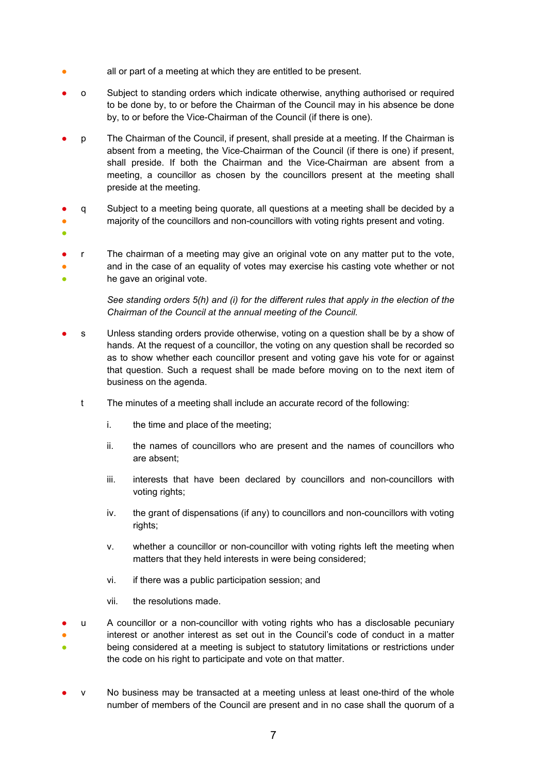- all or part of a meeting at which they are entitled to be present.
- o Subject to standing orders which indicate otherwise, anything authorised or required to be done by, to or before the Chairman of the Council may in his absence be done by, to or before the Vice-Chairman of the Council (if there is one).
- p The Chairman of the Council, if present, shall preside at a meeting. If the Chairman is absent from a meeting, the Vice-Chairman of the Council (if there is one) if present, shall preside. If both the Chairman and the Vice-Chairman are absent from a meeting, a councillor as chosen by the councillors present at the meeting shall preside at the meeting.
- q Subject to a meeting being quorate, all questions at a meeting shall be decided by a
- majority of the councillors and non-councillors with voting rights present and voting.
- ●
- ● ● r The chairman of a meeting may give an original vote on any matter put to the vote, and in the case of an equality of votes may exercise his casting vote whether or not he gave an original vote.

*See standing orders 5(h) and (i) for the different rules that apply in the election of the Chairman of the Council at the annual meeting of the Council.*

- s Unless standing orders provide otherwise, voting on a question shall be by a show of hands. At the request of a councillor, the voting on any question shall be recorded so as to show whether each councillor present and voting gave his vote for or against that question. Such a request shall be made before moving on to the next item of business on the agenda.
	- t The minutes of a meeting shall include an accurate record of the following:
		- i. the time and place of the meeting;
		- ii. the names of councillors who are present and the names of councillors who are absent;
		- iii. interests that have been declared by councillors and non-councillors with voting rights;
		- iv. the grant of dispensations (if any) to councillors and non-councillors with voting rights;
		- v. whether a councillor or non-councillor with voting rights left the meeting when matters that they held interests in were being considered;
		- vi. if there was a public participation session; and
		- vii. the resolutions made.
- ● ● u A councillor or a non-councillor with voting rights who has a disclosable pecuniary interest or another interest as set out in the Council's code of conduct in a matter being considered at a meeting is subject to statutory limitations or restrictions under the code on his right to participate and vote on that matter.
- v No business may be transacted at a meeting unless at least one-third of the whole number of members of the Council are present and in no case shall the quorum of a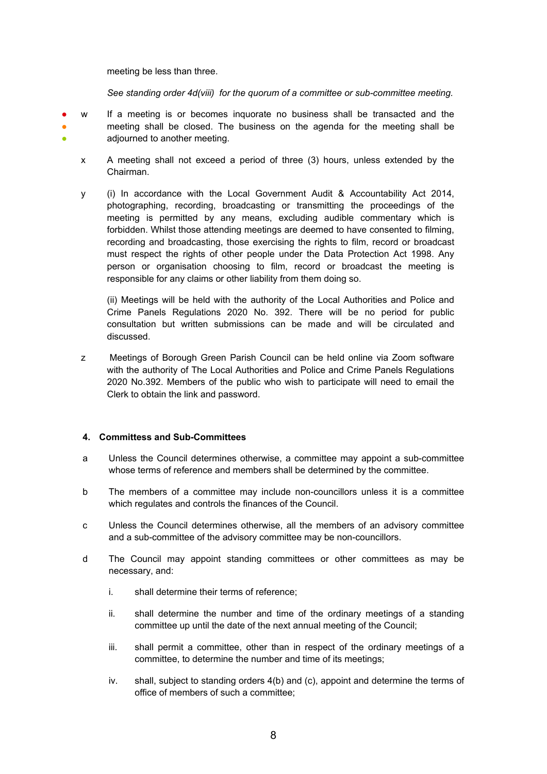meeting be less than three.

*See standing order 4d(viii) for the quorum of a committee or sub-committee meeting.* 

- ● ● w If a meeting is or becomes inquorate no business shall be transacted and the meeting shall be closed. The business on the agenda for the meeting shall be adjourned to another meeting.
	- x A meeting shall not exceed a period of three (3) hours, unless extended by the Chairman.
	- y (i) In accordance with the Local Government Audit & Accountability Act 2014, photographing, recording, broadcasting or transmitting the proceedings of the meeting is permitted by any means, excluding audible commentary which is forbidden. Whilst those attending meetings are deemed to have consented to filming, recording and broadcasting, those exercising the rights to film, record or broadcast must respect the rights of other people under the Data Protection Act 1998. Any person or organisation choosing to film, record or broadcast the meeting is responsible for any claims or other liability from them doing so.

(ii) Meetings will be held with the authority of the Local Authorities and Police and Crime Panels Regulations 2020 No. 392. There will be no period for public consultation but written submissions can be made and will be circulated and discussed.

z Meetings of Borough Green Parish Council can be held online via Zoom software with the authority of The Local Authorities and Police and Crime Panels Regulations 2020 No.392. Members of the public who wish to participate will need to email the Clerk to obtain the link and password.

#### **4. Committess and Sub-Committees**

- a Unless the Council determines otherwise, a committee may appoint a sub-committee whose terms of reference and members shall be determined by the committee.
- b The members of a committee may include non-councillors unless it is a committee which regulates and controls the finances of the Council.
- c Unless the Council determines otherwise, all the members of an advisory committee and a sub-committee of the advisory committee may be non-councillors.
- d The Council may appoint standing committees or other committees as may be necessary, and:
	- i. shall determine their terms of reference;
	- ii. shall determine the number and time of the ordinary meetings of a standing committee up until the date of the next annual meeting of the Council;
	- iii. shall permit a committee, other than in respect of the ordinary meetings of a committee, to determine the number and time of its meetings;
	- iv. shall, subject to standing orders 4(b) and (c), appoint and determine the terms of office of members of such a committee;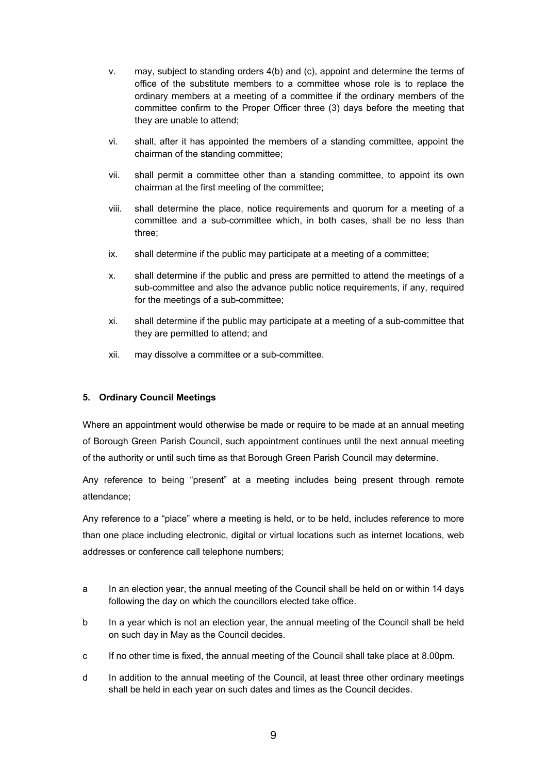- v. may, subject to standing orders 4(b) and (c), appoint and determine the terms of office of the substitute members to a committee whose role is to replace the ordinary members at a meeting of a committee if the ordinary members of the committee confirm to the Proper Officer three (3) days before the meeting that they are unable to attend;
- vi. shall, after it has appointed the members of a standing committee, appoint the chairman of the standing committee;
- vii. shall permit a committee other than a standing committee, to appoint its own chairman at the first meeting of the committee;
- viii. shall determine the place, notice requirements and quorum for a meeting of a committee and a sub-committee which, in both cases, shall be no less than three;
- ix. shall determine if the public may participate at a meeting of a committee;
- x. shall determine if the public and press are permitted to attend the meetings of a sub-committee and also the advance public notice requirements, if any, required for the meetings of a sub-committee;
- xi. shall determine if the public may participate at a meeting of a sub-committee that they are permitted to attend; and
- xii. may dissolve a committee or a sub-committee.

## **5. Ordinary Council Meetings**

Where an appointment would otherwise be made or require to be made at an annual meeting of Borough Green Parish Council, such appointment continues until the next annual meeting of the authority or until such time as that Borough Green Parish Council may determine.

Any reference to being "present" at a meeting includes being present through remote attendance;

Any reference to a "place" where a meeting is held, or to be held, includes reference to more than one place including electronic, digital or virtual locations such as internet locations, web addresses or conference call telephone numbers;

- a In an election year, the annual meeting of the Council shall be held on or within 14 days following the day on which the councillors elected take office.
- b In a year which is not an election year, the annual meeting of the Council shall be held on such day in May as the Council decides.
- c If no other time is fixed, the annual meeting of the Council shall take place at 8.00pm.
- d In addition to the annual meeting of the Council, at least three other ordinary meetings shall be held in each year on such dates and times as the Council decides.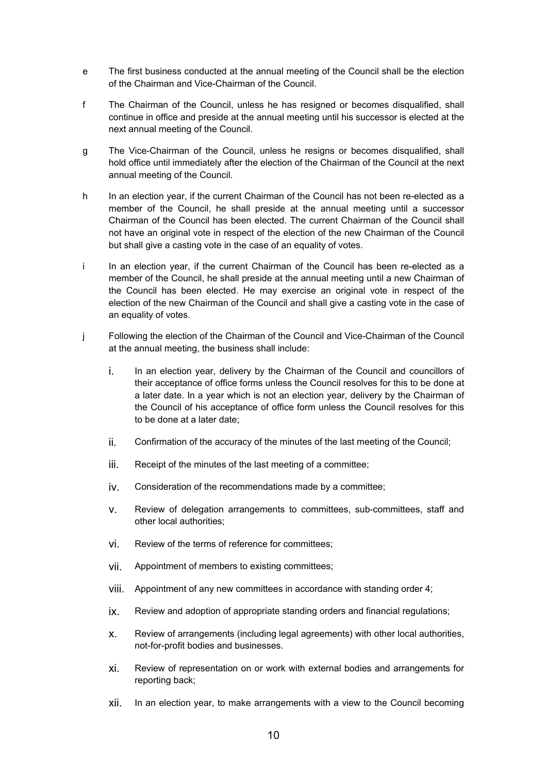- e The first business conducted at the annual meeting of the Council shall be the election of the Chairman and Vice-Chairman of the Council.
- f The Chairman of the Council, unless he has resigned or becomes disqualified, shall continue in office and preside at the annual meeting until his successor is elected at the next annual meeting of the Council.
- g The Vice-Chairman of the Council, unless he resigns or becomes disqualified, shall hold office until immediately after the election of the Chairman of the Council at the next annual meeting of the Council.
- h In an election year, if the current Chairman of the Council has not been re-elected as a member of the Council, he shall preside at the annual meeting until a successor Chairman of the Council has been elected. The current Chairman of the Council shall not have an original vote in respect of the election of the new Chairman of the Council but shall give a casting vote in the case of an equality of votes.
- i In an election year, if the current Chairman of the Council has been re-elected as a member of the Council, he shall preside at the annual meeting until a new Chairman of the Council has been elected. He may exercise an original vote in respect of the election of the new Chairman of the Council and shall give a casting vote in the case of an equality of votes.
- j Following the election of the Chairman of the Council and Vice-Chairman of the Council at the annual meeting, the business shall include:
	- i. In an election year, delivery by the Chairman of the Council and councillors of their acceptance of office forms unless the Council resolves for this to be done at a later date. In a year which is not an election year, delivery by the Chairman of the Council of his acceptance of office form unless the Council resolves for this to be done at a later date;
	- ii. Confirmation of the accuracy of the minutes of the last meeting of the Council;
	- iii. Receipt of the minutes of the last meeting of a committee;
	- iv. Consideration of the recommendations made by a committee;
	- v. Review of delegation arrangements to committees, sub-committees, staff and other local authorities;
	- vi. Review of the terms of reference for committees;
	- vii. Appointment of members to existing committees;
	- viii. Appointment of any new committees in accordance with standing order 4;
	- ix. Review and adoption of appropriate standing orders and financial regulations;
	- x. Review of arrangements (including legal agreements) with other local authorities, not-for-profit bodies and businesses.
	- xi. Review of representation on or work with external bodies and arrangements for reporting back;
	- xii. In an election year, to make arrangements with a view to the Council becoming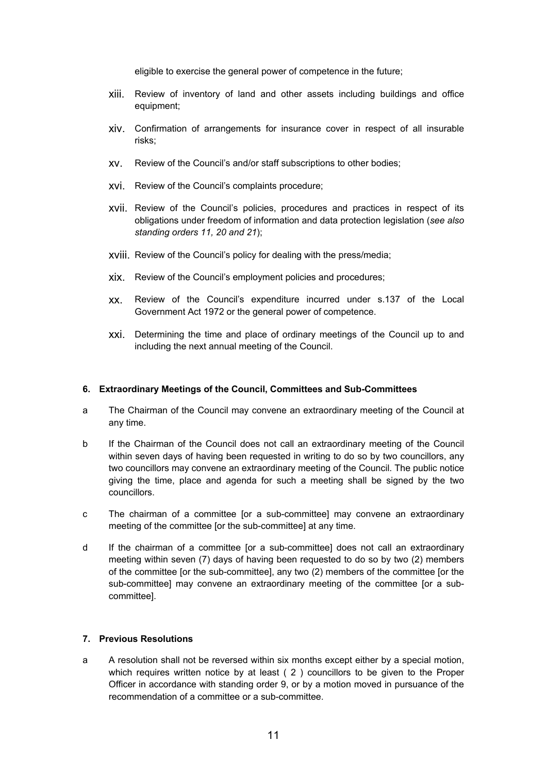eligible to exercise the general power of competence in the future;

- xiii. Review of inventory of land and other assets including buildings and office equipment;
- xiv. Confirmation of arrangements for insurance cover in respect of all insurable risks;
- xv. Review of the Council's and/or staff subscriptions to other bodies;
- xvi. Review of the Council's complaints procedure;
- xvii. Review of the Council's policies, procedures and practices in respect of its obligations under freedom of information and data protection legislation (*see also standing orders 11, 20 and 21*);
- xviii. Review of the Council's policy for dealing with the press/media;
- xix. Review of the Council's employment policies and procedures;
- xx. Review of the Council's expenditure incurred under s.137 of the Local Government Act 1972 or the general power of competence.
- xxi. Determining the time and place of ordinary meetings of the Council up to and including the next annual meeting of the Council.

#### **6. Extraordinary Meetings of the Council, Committees and Sub-Committees**

- a The Chairman of the Council may convene an extraordinary meeting of the Council at any time.
- b If the Chairman of the Council does not call an extraordinary meeting of the Council within seven days of having been requested in writing to do so by two councillors, any two councillors may convene an extraordinary meeting of the Council. The public notice giving the time, place and agenda for such a meeting shall be signed by the two councillors.
- c The chairman of a committee [or a sub-committee] may convene an extraordinary meeting of the committee [or the sub-committee] at any time.
- d If the chairman of a committee [or a sub-committee] does not call an extraordinary meeting within seven (7) days of having been requested to do so by two (2) members of the committee [or the sub-committee], any two (2) members of the committee [or the sub-committee] may convene an extraordinary meeting of the committee [or a subcommittee].

#### **7. Previous Resolutions**

a A resolution shall not be reversed within six months except either by a special motion, which requires written notice by at least ( 2 ) councillors to be given to the Proper Officer in accordance with standing order 9, or by a motion moved in pursuance of the recommendation of a committee or a sub-committee.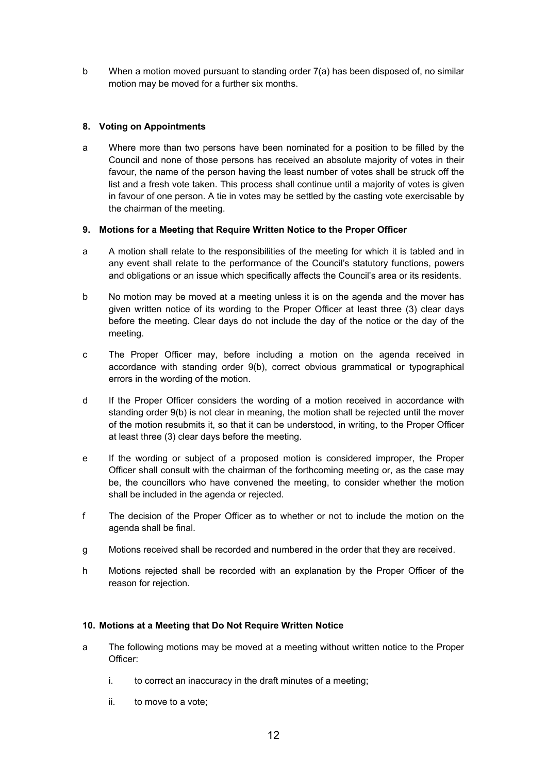b When a motion moved pursuant to standing order 7(a) has been disposed of, no similar motion may be moved for a further six months.

## **8. Voting on Appointments**

a Where more than two persons have been nominated for a position to be filled by the Council and none of those persons has received an absolute majority of votes in their favour, the name of the person having the least number of votes shall be struck off the list and a fresh vote taken. This process shall continue until a majority of votes is given in favour of one person. A tie in votes may be settled by the casting vote exercisable by the chairman of the meeting.

## **9. Motions for a Meeting that Require Written Notice to the Proper Officer**

- a A motion shall relate to the responsibilities of the meeting for which it is tabled and in any event shall relate to the performance of the Council's statutory functions, powers and obligations or an issue which specifically affects the Council's area or its residents.
- b No motion may be moved at a meeting unless it is on the agenda and the mover has given written notice of its wording to the Proper Officer at least three (3) clear days before the meeting. Clear days do not include the day of the notice or the day of the meeting.
- c The Proper Officer may, before including a motion on the agenda received in accordance with standing order 9(b), correct obvious grammatical or typographical errors in the wording of the motion.
- d If the Proper Officer considers the wording of a motion received in accordance with standing order 9(b) is not clear in meaning, the motion shall be rejected until the mover of the motion resubmits it, so that it can be understood, in writing, to the Proper Officer at least three (3) clear days before the meeting.
- e If the wording or subject of a proposed motion is considered improper, the Proper Officer shall consult with the chairman of the forthcoming meeting or, as the case may be, the councillors who have convened the meeting, to consider whether the motion shall be included in the agenda or rejected.
- f The decision of the Proper Officer as to whether or not to include the motion on the agenda shall be final.
- g Motions received shall be recorded and numbered in the order that they are received.
- h Motions rejected shall be recorded with an explanation by the Proper Officer of the reason for rejection.

## **10. Motions at a Meeting that Do Not Require Written Notice**

- a The following motions may be moved at a meeting without written notice to the Proper Officer:
	- i. to correct an inaccuracy in the draft minutes of a meeting;
	- ii. to move to a vote;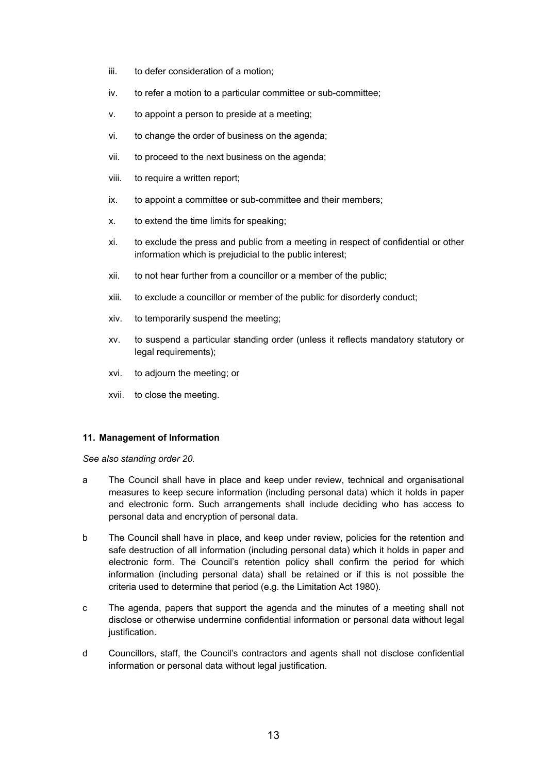- iii. to defer consideration of a motion;
- iv. to refer a motion to a particular committee or sub-committee;
- v. to appoint a person to preside at a meeting;
- vi. to change the order of business on the agenda;
- vii. to proceed to the next business on the agenda;
- viii. to require a written report;
- ix. to appoint a committee or sub-committee and their members;
- x. to extend the time limits for speaking;
- xi. to exclude the press and public from a meeting in respect of confidential or other information which is prejudicial to the public interest;
- xii. to not hear further from a councillor or a member of the public;
- xiii. to exclude a councillor or member of the public for disorderly conduct;
- xiv. to temporarily suspend the meeting;
- xv. to suspend a particular standing order (unless it reflects mandatory statutory or legal requirements);
- xvi. to adjourn the meeting; or
- xvii. to close the meeting.

#### **11. Management of Information**

*See also standing order 20.* 

- a The Council shall have in place and keep under review, technical and organisational measures to keep secure information (including personal data) which it holds in paper and electronic form. Such arrangements shall include deciding who has access to personal data and encryption of personal data.
- b The Council shall have in place, and keep under review, policies for the retention and safe destruction of all information (including personal data) which it holds in paper and electronic form. The Council's retention policy shall confirm the period for which information (including personal data) shall be retained or if this is not possible the criteria used to determine that period (e.g. the Limitation Act 1980).
- c The agenda, papers that support the agenda and the minutes of a meeting shall not disclose or otherwise undermine confidential information or personal data without legal justification.
- d Councillors, staff, the Council's contractors and agents shall not disclose confidential information or personal data without legal justification.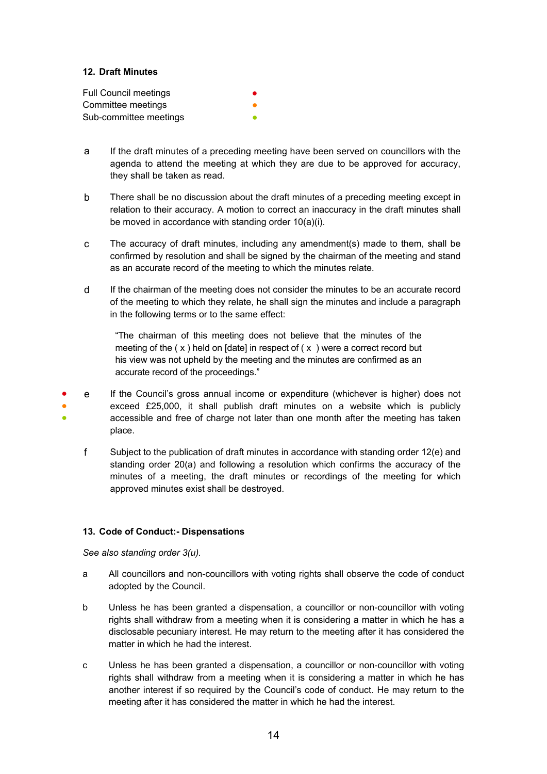## **12. Draft Minutes**

| <b>Full Council meetings</b> |  |
|------------------------------|--|
| Committee meetings           |  |
| Sub-committee meetings       |  |

- a If the draft minutes of a preceding meeting have been served on councillors with the agenda to attend the meeting at which they are due to be approved for accuracy, they shall be taken as read.
- b There shall be no discussion about the draft minutes of a preceding meeting except in relation to their accuracy. A motion to correct an inaccuracy in the draft minutes shall be moved in accordance with standing order 10(a)(i).
- c The accuracy of draft minutes, including any amendment(s) made to them, shall be confirmed by resolution and shall be signed by the chairman of the meeting and stand as an accurate record of the meeting to which the minutes relate.
- d If the chairman of the meeting does not consider the minutes to be an accurate record of the meeting to which they relate, he shall sign the minutes and include a paragraph in the following terms or to the same effect:

"The chairman of this meeting does not believe that the minutes of the meeting of the  $(x)$  held on [date] in respect of  $(x)$  were a correct record but his view was not upheld by the meeting and the minutes are confirmed as an accurate record of the proceedings."

- ● ● e If the Council's gross annual income or expenditure (whichever is higher) does not exceed £25,000, it shall publish draft minutes on a website which is publicly accessible and free of charge not later than one month after the meeting has taken place.
	- f Subject to the publication of draft minutes in accordance with standing order 12(e) and standing order 20(a) and following a resolution which confirms the accuracy of the minutes of a meeting, the draft minutes or recordings of the meeting for which approved minutes exist shall be destroyed.

## **13. Code of Conduct:- Dispensations**

*See also standing order 3(u).* 

- a All councillors and non-councillors with voting rights shall observe the code of conduct adopted by the Council.
- b Unless he has been granted a dispensation, a councillor or non-councillor with voting rights shall withdraw from a meeting when it is considering a matter in which he has a disclosable pecuniary interest. He may return to the meeting after it has considered the matter in which he had the interest.
- c Unless he has been granted a dispensation, a councillor or non-councillor with voting rights shall withdraw from a meeting when it is considering a matter in which he has another interest if so required by the Council's code of conduct. He may return to the meeting after it has considered the matter in which he had the interest.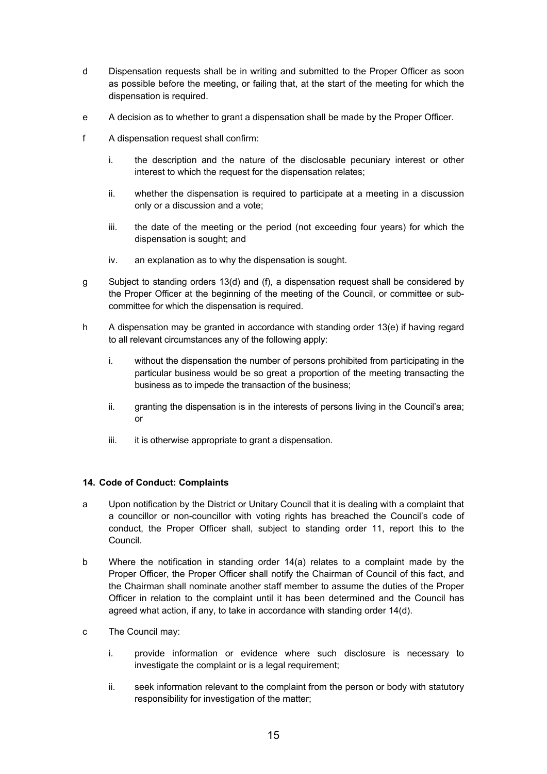- d Dispensation requests shall be in writing and submitted to the Proper Officer as soon as possible before the meeting, or failing that, at the start of the meeting for which the dispensation is required.
- e A decision as to whether to grant a dispensation shall be made by the Proper Officer.
- f A dispensation request shall confirm:
	- i. the description and the nature of the disclosable pecuniary interest or other interest to which the request for the dispensation relates;
	- ii. whether the dispensation is required to participate at a meeting in a discussion only or a discussion and a vote;
	- iii. the date of the meeting or the period (not exceeding four years) for which the dispensation is sought; and
	- iv. an explanation as to why the dispensation is sought.
- g Subject to standing orders 13(d) and (f), a dispensation request shall be considered by the Proper Officer at the beginning of the meeting of the Council, or committee or subcommittee for which the dispensation is required.
- h A dispensation may be granted in accordance with standing order 13(e) if having regard to all relevant circumstances any of the following apply:
	- i. without the dispensation the number of persons prohibited from participating in the particular business would be so great a proportion of the meeting transacting the business as to impede the transaction of the business;
	- ii. granting the dispensation is in the interests of persons living in the Council's area; or
	- iii. it is otherwise appropriate to grant a dispensation.

## **14. Code of Conduct: Complaints**

- a Upon notification by the District or Unitary Council that it is dealing with a complaint that a councillor or non-councillor with voting rights has breached the Council's code of conduct, the Proper Officer shall, subject to standing order 11, report this to the Council.
- b Where the notification in standing order 14(a) relates to a complaint made by the Proper Officer, the Proper Officer shall notify the Chairman of Council of this fact, and the Chairman shall nominate another staff member to assume the duties of the Proper Officer in relation to the complaint until it has been determined and the Council has agreed what action, if any, to take in accordance with standing order 14(d).
- c The Council may:
	- i. provide information or evidence where such disclosure is necessary to investigate the complaint or is a legal requirement;
	- ii. seek information relevant to the complaint from the person or body with statutory responsibility for investigation of the matter;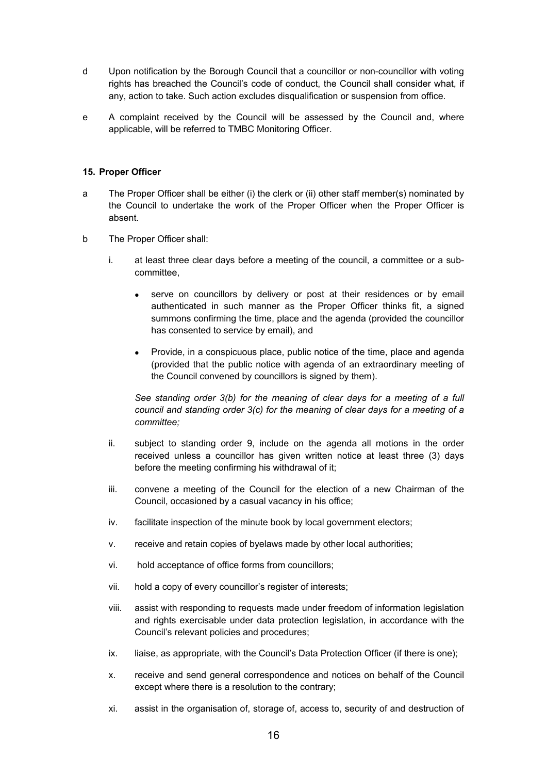- d Upon notification by the Borough Council that a councillor or non-councillor with voting rights has breached the Council's code of conduct, the Council shall consider what, if any, action to take. Such action excludes disqualification or suspension from office.
- e A complaint received by the Council will be assessed by the Council and, where applicable, will be referred to TMBC Monitoring Officer.

#### **15. Proper Officer**

- a The Proper Officer shall be either (i) the clerk or (ii) other staff member(s) nominated by the Council to undertake the work of the Proper Officer when the Proper Officer is absent.
- b The Proper Officer shall:
	- i. at least three clear days before a meeting of the council, a committee or a subcommittee,
		- serve on councillors by delivery or post at their residences or by email authenticated in such manner as the Proper Officer thinks fit, a signed summons confirming the time, place and the agenda (provided the councillor has consented to service by email), and
		- Provide, in a conspicuous place, public notice of the time, place and agenda (provided that the public notice with agenda of an extraordinary meeting of the Council convened by councillors is signed by them).

*See standing order 3(b) for the meaning of clear days for a meeting of a full council and standing order 3(c) for the meaning of clear days for a meeting of a committee;*

- ii. subject to standing order 9, include on the agenda all motions in the order received unless a councillor has given written notice at least three (3) days before the meeting confirming his withdrawal of it;
- iii. convene a meeting of the Council for the election of a new Chairman of the Council, occasioned by a casual vacancy in his office;
- iv. facilitate inspection of the minute book by local government electors;
- v. receive and retain copies of byelaws made by other local authorities;
- vi. hold acceptance of office forms from councillors;
- vii. hold a copy of every councillor's register of interests;
- viii. assist with responding to requests made under freedom of information legislation and rights exercisable under data protection legislation, in accordance with the Council's relevant policies and procedures;
- ix. liaise, as appropriate, with the Council's Data Protection Officer (if there is one);
- x. receive and send general correspondence and notices on behalf of the Council except where there is a resolution to the contrary;
- xi. assist in the organisation of, storage of, access to, security of and destruction of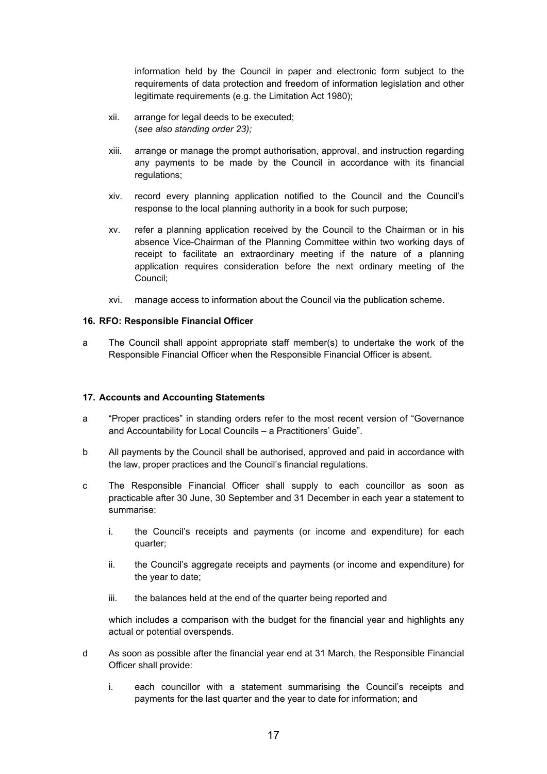information held by the Council in paper and electronic form subject to the requirements of data protection and freedom of information legislation and other legitimate requirements (e.g. the Limitation Act 1980);

- xii. arrange for legal deeds to be executed; (*see also standing order 23);*
- xiii. arrange or manage the prompt authorisation, approval, and instruction regarding any payments to be made by the Council in accordance with its financial regulations;
- xiv. record every planning application notified to the Council and the Council's response to the local planning authority in a book for such purpose;
- xv. refer a planning application received by the Council to the Chairman or in his absence Vice-Chairman of the Planning Committee within two working days of receipt to facilitate an extraordinary meeting if the nature of a planning application requires consideration before the next ordinary meeting of the Council;
- xvi. manage access to information about the Council via the publication scheme.

#### **16. RFO: Responsible Financial Officer**

a The Council shall appoint appropriate staff member(s) to undertake the work of the Responsible Financial Officer when the Responsible Financial Officer is absent.

#### **17. Accounts and Accounting Statements**

- a "Proper practices" in standing orders refer to the most recent version of "Governance and Accountability for Local Councils – a Practitioners' Guide".
- b All payments by the Council shall be authorised, approved and paid in accordance with the law, proper practices and the Council's financial regulations.
- c The Responsible Financial Officer shall supply to each councillor as soon as practicable after 30 June, 30 September and 31 December in each year a statement to summarise:
	- i. the Council's receipts and payments (or income and expenditure) for each quarter;
	- ii. the Council's aggregate receipts and payments (or income and expenditure) for the year to date;
	- iii. the balances held at the end of the quarter being reported and

which includes a comparison with the budget for the financial year and highlights any actual or potential overspends.

- d As soon as possible after the financial year end at 31 March, the Responsible Financial Officer shall provide:
	- i. each councillor with a statement summarising the Council's receipts and payments for the last quarter and the year to date for information; and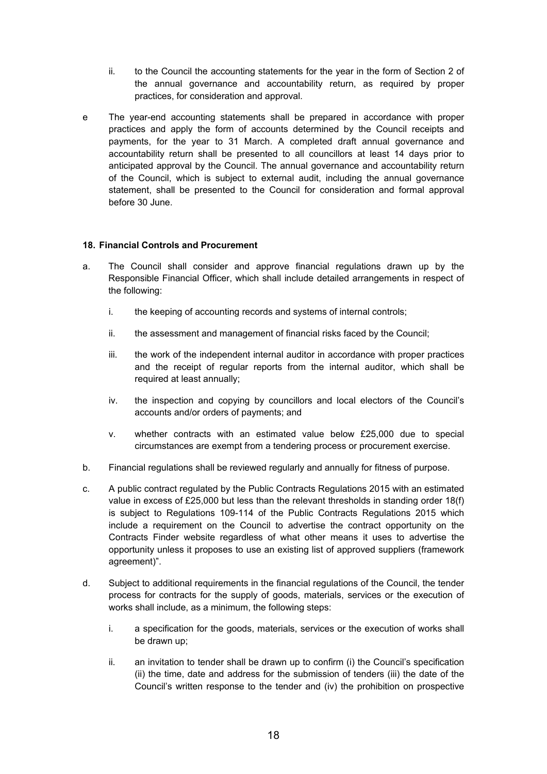- ii. to the Council the accounting statements for the year in the form of Section 2 of the annual governance and accountability return, as required by proper practices, for consideration and approval.
- e The year-end accounting statements shall be prepared in accordance with proper practices and apply the form of accounts determined by the Council receipts and payments, for the year to 31 March. A completed draft annual governance and accountability return shall be presented to all councillors at least 14 days prior to anticipated approval by the Council. The annual governance and accountability return of the Council, which is subject to external audit, including the annual governance statement, shall be presented to the Council for consideration and formal approval before 30 June.

## **18. Financial Controls and Procurement**

- a. The Council shall consider and approve financial regulations drawn up by the Responsible Financial Officer, which shall include detailed arrangements in respect of the following:
	- i. the keeping of accounting records and systems of internal controls;
	- ii. the assessment and management of financial risks faced by the Council;
	- iii. the work of the independent internal auditor in accordance with proper practices and the receipt of regular reports from the internal auditor, which shall be required at least annually;
	- iv. the inspection and copying by councillors and local electors of the Council's accounts and/or orders of payments; and
	- v. whether contracts with an estimated value below £25,000 due to special circumstances are exempt from a tendering process or procurement exercise.
- b. Financial regulations shall be reviewed regularly and annually for fitness of purpose.
- c. A public contract regulated by the Public Contracts Regulations 2015 with an estimated value in excess of £25,000 but less than the relevant thresholds in standing order 18(f) is subject to Regulations 109-114 of the Public Contracts Regulations 2015 which include a requirement on the Council to advertise the contract opportunity on the Contracts Finder website regardless of what other means it uses to advertise the opportunity unless it proposes to use an existing list of approved suppliers (framework agreement)".
- d. Subject to additional requirements in the financial regulations of the Council, the tender process for contracts for the supply of goods, materials, services or the execution of works shall include, as a minimum, the following steps:
	- i. a specification for the goods, materials, services or the execution of works shall be drawn up;
	- ii. an invitation to tender shall be drawn up to confirm (i) the Council's specification (ii) the time, date and address for the submission of tenders (iii) the date of the Council's written response to the tender and (iv) the prohibition on prospective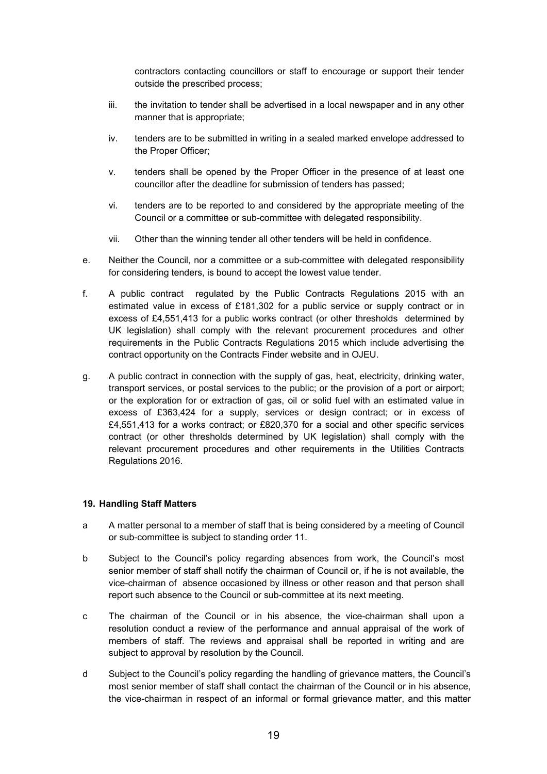contractors contacting councillors or staff to encourage or support their tender outside the prescribed process;

- iii. the invitation to tender shall be advertised in a local newspaper and in any other manner that is appropriate;
- iv. tenders are to be submitted in writing in a sealed marked envelope addressed to the Proper Officer;
- v. tenders shall be opened by the Proper Officer in the presence of at least one councillor after the deadline for submission of tenders has passed;
- vi. tenders are to be reported to and considered by the appropriate meeting of the Council or a committee or sub-committee with delegated responsibility.
- vii. Other than the winning tender all other tenders will be held in confidence.
- e. Neither the Council, nor a committee or a sub-committee with delegated responsibility for considering tenders, is bound to accept the lowest value tender.
- f. A public contract regulated by the Public Contracts Regulations 2015 with an estimated value in excess of £181,302 for a public service or supply contract or in excess of £4,551,413 for a public works contract (or other thresholds determined by UK legislation) shall comply with the relevant procurement procedures and other requirements in the Public Contracts Regulations 2015 which include advertising the contract opportunity on the Contracts Finder website and in OJEU.
- g. A public contract in connection with the supply of gas, heat, electricity, drinking water, transport services, or postal services to the public; or the provision of a port or airport; or the exploration for or extraction of gas, oil or solid fuel with an estimated value in excess of £363,424 for a supply, services or design contract; or in excess of £4,551,413 for a works contract; or £820,370 for a social and other specific services contract (or other thresholds determined by UK legislation) shall comply with the relevant procurement procedures and other requirements in the Utilities Contracts Regulations 2016.

#### **19. Handling Staff Matters**

- a A matter personal to a member of staff that is being considered by a meeting of Council or sub-committee is subject to standing order 11.
- b Subject to the Council's policy regarding absences from work, the Council's most senior member of staff shall notify the chairman of Council or, if he is not available, the vice-chairman of absence occasioned by illness or other reason and that person shall report such absence to the Council or sub-committee at its next meeting.
- c The chairman of the Council or in his absence, the vice-chairman shall upon a resolution conduct a review of the performance and annual appraisal of the work of members of staff. The reviews and appraisal shall be reported in writing and are subject to approval by resolution by the Council.
- d Subject to the Council's policy regarding the handling of grievance matters, the Council's most senior member of staff shall contact the chairman of the Council or in his absence, the vice-chairman in respect of an informal or formal grievance matter, and this matter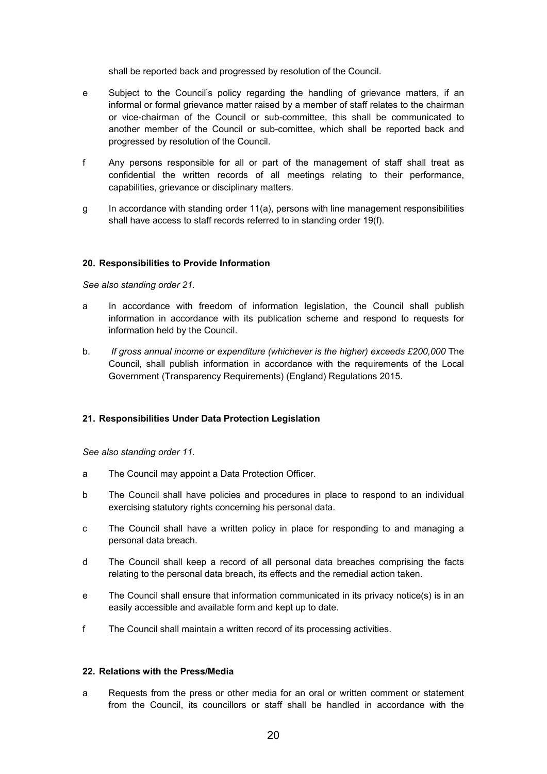shall be reported back and progressed by resolution of the Council.

- e Subject to the Council's policy regarding the handling of grievance matters, if an informal or formal grievance matter raised by a member of staff relates to the chairman or vice-chairman of the Council or sub-committee, this shall be communicated to another member of the Council or sub-comittee, which shall be reported back and progressed by resolution of the Council.
- f Any persons responsible for all or part of the management of staff shall treat as confidential the written records of all meetings relating to their performance, capabilities, grievance or disciplinary matters.
- g In accordance with standing order 11(a), persons with line management responsibilities shall have access to staff records referred to in standing order 19(f).

#### **20. Responsibilities to Provide Information**

*See also standing order 21.* 

- a In accordance with freedom of information legislation, the Council shall publish information in accordance with its publication scheme and respond to requests for information held by the Council.
- b. *If gross annual income or expenditure (whichever is the higher) exceeds £200,000* The Council, shall publish information in accordance with the requirements of the Local Government (Transparency Requirements) (England) Regulations 2015.

## **21. Responsibilities Under Data Protection Legislation**

*See also standing order 11.*

- a The Council may appoint a Data Protection Officer.
- b The Council shall have policies and procedures in place to respond to an individual exercising statutory rights concerning his personal data.
- c The Council shall have a written policy in place for responding to and managing a personal data breach.
- d The Council shall keep a record of all personal data breaches comprising the facts relating to the personal data breach, its effects and the remedial action taken.
- e The Council shall ensure that information communicated in its privacy notice(s) is in an easily accessible and available form and kept up to date.
- f The Council shall maintain a written record of its processing activities.

#### **22. Relations with the Press/Media**

a Requests from the press or other media for an oral or written comment or statement from the Council, its councillors or staff shall be handled in accordance with the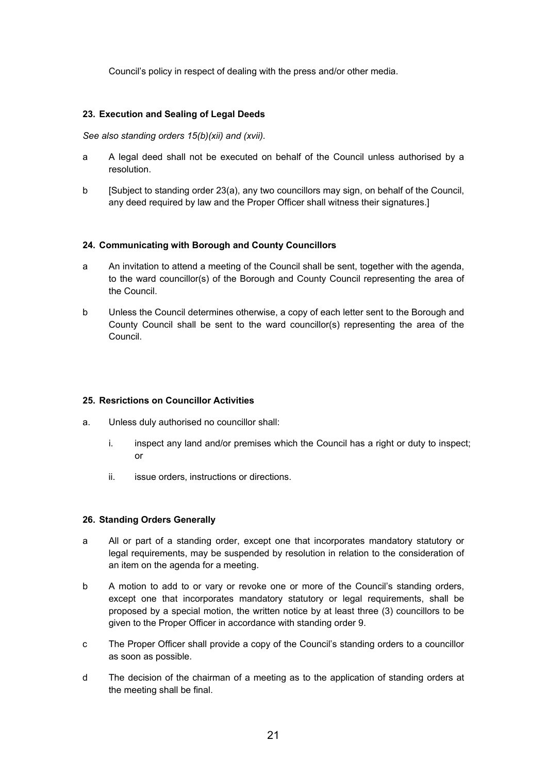Council's policy in respect of dealing with the press and/or other media.

## **23. Execution and Sealing of Legal Deeds**

*See also standing orders 15(b)(xii) and (xvii).*

- a A legal deed shall not be executed on behalf of the Council unless authorised by a resolution.
- b [Subject to standing order 23(a), any two councillors may sign, on behalf of the Council, any deed required by law and the Proper Officer shall witness their signatures.]

#### **24. Communicating with Borough and County Councillors**

- a An invitation to attend a meeting of the Council shall be sent, together with the agenda, to the ward councillor(s) of the Borough and County Council representing the area of the Council.
- b Unless the Council determines otherwise, a copy of each letter sent to the Borough and County Council shall be sent to the ward councillor(s) representing the area of the Council.

## **25. Resrictions on Councillor Activities**

- a. Unless duly authorised no councillor shall:
	- i. inspect any land and/or premises which the Council has a right or duty to inspect; or
	- ii. issue orders, instructions or directions.

#### **26. Standing Orders Generally**

- a All or part of a standing order, except one that incorporates mandatory statutory or legal requirements, may be suspended by resolution in relation to the consideration of an item on the agenda for a meeting.
- b A motion to add to or vary or revoke one or more of the Council's standing orders, except one that incorporates mandatory statutory or legal requirements, shall be proposed by a special motion, the written notice by at least three (3) councillors to be given to the Proper Officer in accordance with standing order 9.
- c The Proper Officer shall provide a copy of the Council's standing orders to a councillor as soon as possible.
- d The decision of the chairman of a meeting as to the application of standing orders at the meeting shall be final.